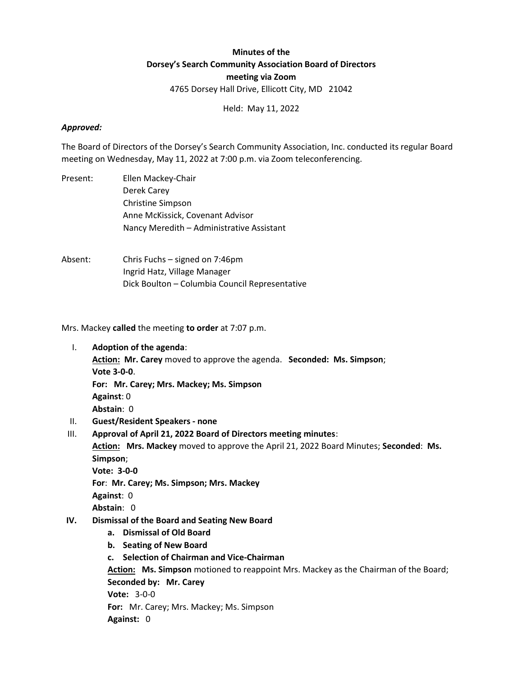## Minutes of the Dorsey's Search Community Association Board of Directors meeting via Zoom 4765 Dorsey Hall Drive, Ellicott City, MD 21042

Held: May 11, 2022

### Approved:

The Board of Directors of the Dorsey's Search Community Association, Inc. conducted its regular Board meeting on Wednesday, May 11, 2022 at 7:00 p.m. via Zoom teleconferencing.

- Present: Ellen Mackey-Chair Derek Carey Christine Simpson Anne McKissick, Covenant Advisor Nancy Meredith – Administrative Assistant
- Absent: Chris Fuchs signed on 7:46pm Ingrid Hatz, Village Manager Dick Boulton – Columbia Council Representative

Mrs. Mackey called the meeting to order at 7:07 p.m.

- I. Adoption of the agenda:
	- Action: Mr. Carey moved to approve the agenda. Seconded: Ms. Simpson; Vote 3-0-0.

For: Mr. Carey; Mrs. Mackey; Ms. Simpson

Against: 0

Abstain: 0

- II. Guest/Resident Speakers none
- III. Approval of April 21, 2022 Board of Directors meeting minutes:

Action: Mrs. Mackey moved to approve the April 21, 2022 Board Minutes; Seconded: Ms. Simpson;

Vote: 3-0-0

For: Mr. Carey; Ms. Simpson; Mrs. Mackey

Against: 0

Abstain: 0

- IV. Dismissal of the Board and Seating New Board
	- a. Dismissal of Old Board
	- b. Seating of New Board
	- c. Selection of Chairman and Vice-Chairman

Action: Ms. Simpson motioned to reappoint Mrs. Mackey as the Chairman of the Board; Seconded by: Mr. Carey Vote: 3-0-0 For: Mr. Carey; Mrs. Mackey; Ms. Simpson Against: 0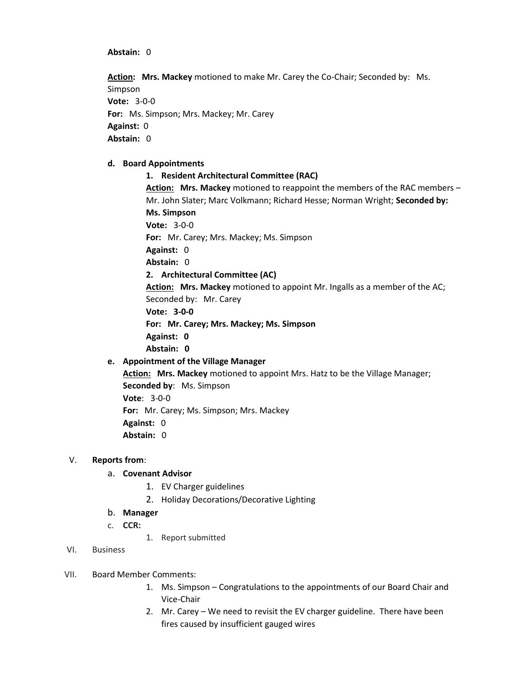### Abstain: 0

Action: Mrs. Mackey motioned to make Mr. Carey the Co-Chair; Seconded by: Ms. Simpson Vote: 3-0-0 For: Ms. Simpson; Mrs. Mackey; Mr. Carey Against: 0 Abstain: 0

### d. Board Appointments

# 1. Resident Architectural Committee (RAC) Action: Mrs. Mackey motioned to reappoint the members of the RAC members -

Mr. John Slater; Marc Volkmann; Richard Hesse; Norman Wright; Seconded by: Ms. Simpson Vote: 3-0-0 For: Mr. Carey; Mrs. Mackey; Ms. Simpson Against: 0 Abstain: 0 2. Architectural Committee (AC) Action: Mrs. Mackey motioned to appoint Mr. Ingalls as a member of the AC; Seconded by: Mr. Carey Vote: 3-0-0 For: Mr. Carey; Mrs. Mackey; Ms. Simpson Against: 0 Abstain: 0

### e. Appointment of the Village Manager

Action: Mrs. Mackey motioned to appoint Mrs. Hatz to be the Village Manager; Seconded by: Ms. Simpson Vote: 3-0-0 For: Mr. Carey; Ms. Simpson; Mrs. Mackey Against: 0 Abstain: 0

### V. Reports from:

### a. Covenant Advisor

- 1. EV Charger guidelines
- 2. Holiday Decorations/Decorative Lighting
- b. Manager
- c. CCR:
	- 1. Report submitted
- VI. Business

### VII. Board Member Comments:

- 1. Ms. Simpson Congratulations to the appointments of our Board Chair and Vice-Chair
- 2. Mr. Carey We need to revisit the EV charger guideline. There have been fires caused by insufficient gauged wires